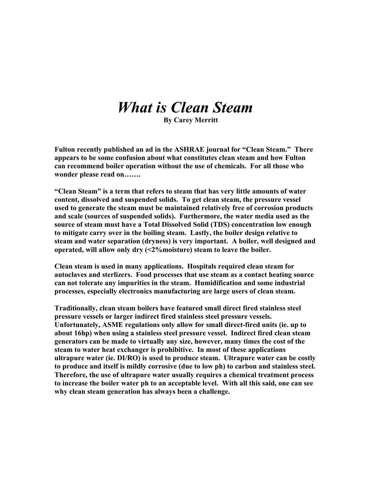## *What is Clean Steam*

 **By Carey Merritt**

**Fulton recently published an ad in the ASHRAE journal for "Clean Steam." There appears to be some confusion about what constitutes clean steam and how Fulton can recommend boiler operation without the use of chemicals. For all those who wonder please read on…….**

**"Clean Steam" is a term that refers to steam that has very little amounts of water content, dissolved and suspended solids. To get clean steam, the pressure vessel used to generate the steam must be maintained relatively free of corrosion products and scale (sources of suspended solids). Furthermore, the water media used as the source of steam must have a Total Dissolved Solid (TDS) concentration low enough to mitigate carry over in the boiling steam. Lastly, the boiler design relative to steam and water separation (dryness) is very important. A boiler, well designed and operated, will allow only dry (<2%moisture) steam to leave the boiler.**

**Clean steam is used in many applications. Hospitals required clean steam for autoclaves and sterlizers. Food processes that use steam as a contact heating source can not tolerate any impurities in the steam. Humidification and some industrial processes, especially electronics manufacturing are large users of clean steam.**

**Traditionally, clean steam boilers have featured small direct fired stainless steel pressure vessels or larger indirect fired stainless steel pressure vessels. Unfortunately, ASME regulations only allow for small direct-fired units (ie. up to about 16hp) when using a stainless steel pressure vessel. Indirect fired clean steam generators can be made to virtually any size, however, many times the cost of the steam to water heat exchanger is prohibitive. In most of these applications ultrapure water (ie. DI/RO) is used to produce steam. Ultrapure water can be costly to produce and itself is mildly corrosive (due to low ph) to carbon and stainless steel. Therefore, the use of ultrapure water usually requires a chemical treatment process to increase the boiler water ph to an acceptable level. With all this said, one can see why clean steam generation has always been a challenge.**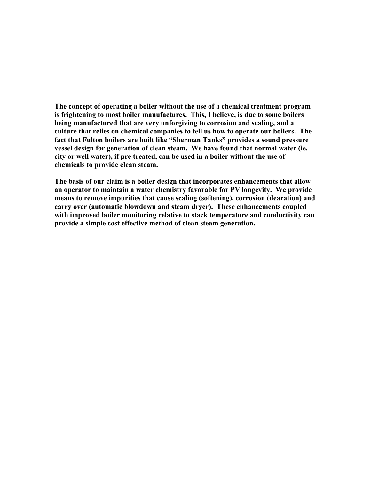**The concept of operating a boiler without the use of a chemical treatment program is frightening to most boiler manufactures. This, I believe, is due to some boilers being manufactured that are very unforgiving to corrosion and scaling, and a culture that relies on chemical companies to tell us how to operate our boilers. The fact that Fulton boilers are built like "Sherman Tanks" provides a sound pressure vessel design for generation of clean steam. We have found that normal water (ie. city or well water), if pre treated, can be used in a boiler without the use of chemicals to provide clean steam.**

**The basis of our claim is a boiler design that incorporates enhancements that allow an operator to maintain a water chemistry favorable for PV longevity. We provide means to remove impurities that cause scaling (softening), corrosion (dearation) and carry over (automatic blowdown and steam dryer). These enhancements coupled with improved boiler monitoring relative to stack temperature and conductivity can provide a simple cost effective method of clean steam generation.**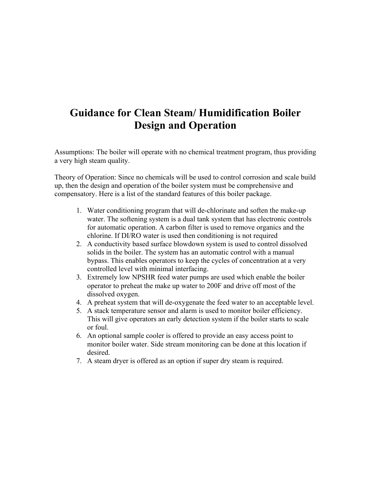## **Guidance for Clean Steam/ Humidification Boiler Design and Operation**

Assumptions: The boiler will operate with no chemical treatment program, thus providing a very high steam quality.

Theory of Operation: Since no chemicals will be used to control corrosion and scale build up, then the design and operation of the boiler system must be comprehensive and compensatory. Here is a list of the standard features of this boiler package.

- 1. Water conditioning program that will de-chlorinate and soften the make-up water. The softening system is a dual tank system that has electronic controls for automatic operation. A carbon filter is used to remove organics and the chlorine. If DI/RO water is used then conditioning is not required
- 2. A conductivity based surface blowdown system is used to control dissolved solids in the boiler. The system has an automatic control with a manual bypass. This enables operators to keep the cycles of concentration at a very controlled level with minimal interfacing.
- 3. Extremely low NPSHR feed water pumps are used which enable the boiler operator to preheat the make up water to 200F and drive off most of the dissolved oxygen.
- 4. A preheat system that will de-oxygenate the feed water to an acceptable level.
- 5. A stack temperature sensor and alarm is used to monitor boiler efficiency. This will give operators an early detection system if the boiler starts to scale or foul.
- 6. An optional sample cooler is offered to provide an easy access point to monitor boiler water. Side stream monitoring can be done at this location if desired.
- 7. A steam dryer is offered as an option if super dry steam is required.